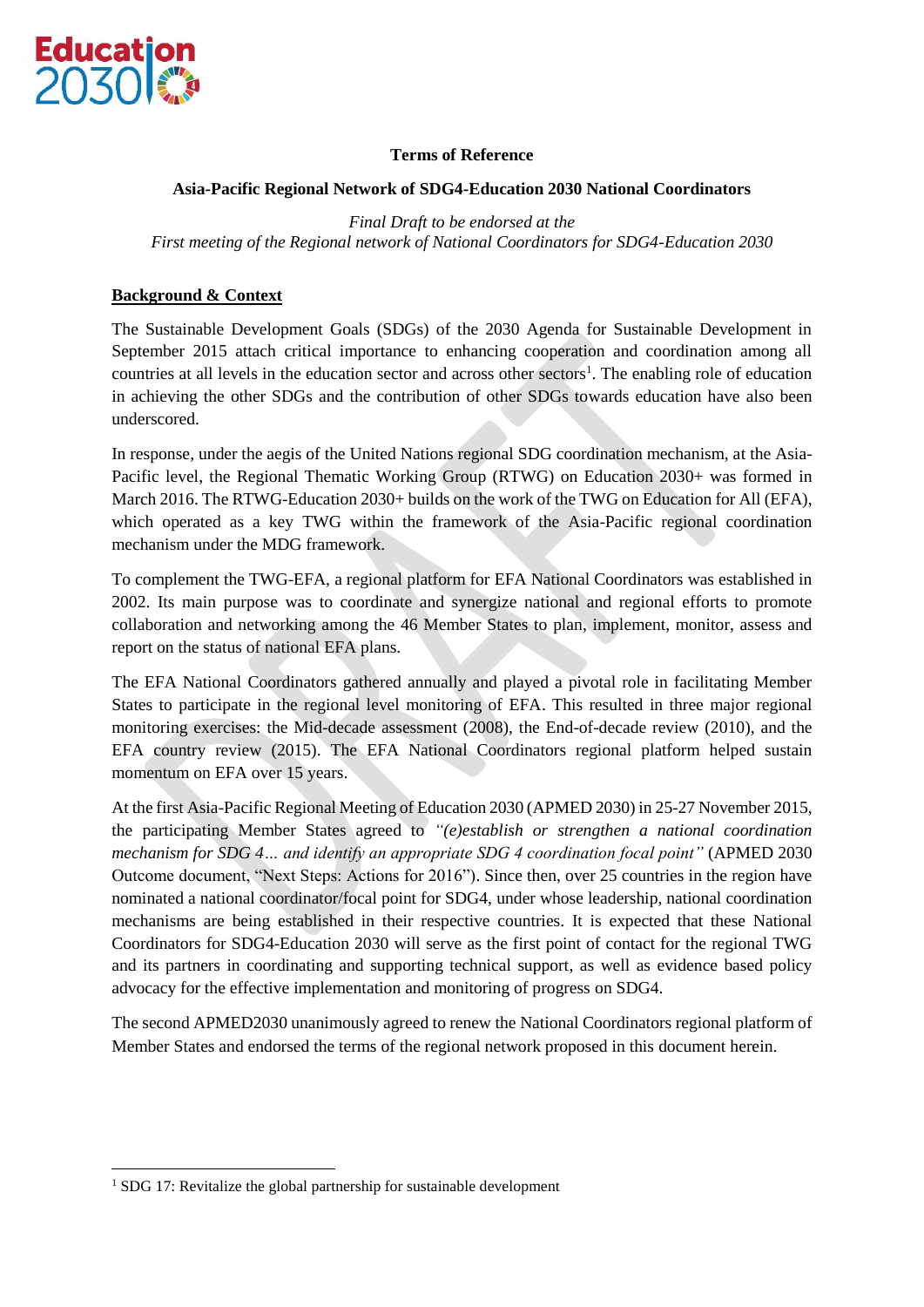

**.** 

### **Terms of Reference**

#### **Asia-Pacific Regional Network of SDG4-Education 2030 National Coordinators**

*Final Draft to be endorsed at the First meeting of the Regional network of National Coordinators for SDG4-Education 2030*

### **Background & Context**

The Sustainable Development Goals (SDGs) of the 2030 Agenda for Sustainable Development in September 2015 attach critical importance to enhancing cooperation and coordination among all countries at all levels in the education sector and across other sectors<sup>1</sup>. The enabling role of education in achieving the other SDGs and the contribution of other SDGs towards education have also been underscored.

In response, under the aegis of the United Nations regional SDG coordination mechanism, at the Asia-Pacific level, the Regional Thematic Working Group (RTWG) on Education 2030+ was formed in March 2016. The RTWG-Education 2030+ builds on the work of the TWG on Education for All (EFA), which operated as a key TWG within the framework of the Asia-Pacific regional coordination mechanism under the MDG framework.

To complement the TWG-EFA, a regional platform for EFA National Coordinators was established in 2002. Its main purpose was to coordinate and synergize national and regional efforts to promote collaboration and networking among the 46 Member States to plan, implement, monitor, assess and report on the status of national EFA plans.

The EFA National Coordinators gathered annually and played a pivotal role in facilitating Member States to participate in the regional level monitoring of EFA. This resulted in three major regional monitoring exercises: the Mid-decade assessment (2008), the End-of-decade review (2010), and the EFA country review (2015). The EFA National Coordinators regional platform helped sustain momentum on EFA over 15 years.

At the first Asia-Pacific Regional Meeting of Education 2030 (APMED 2030) in 25-27 November 2015, the participating Member States agreed to *"(e)establish or strengthen a national coordination mechanism for SDG 4… and identify an appropriate SDG 4 coordination focal point"* (APMED 2030 Outcome document, "Next Steps: Actions for 2016"). Since then, over 25 countries in the region have nominated a national coordinator/focal point for SDG4, under whose leadership, national coordination mechanisms are being established in their respective countries. It is expected that these National Coordinators for SDG4-Education 2030 will serve as the first point of contact for the regional TWG and its partners in coordinating and supporting technical support, as well as evidence based policy advocacy for the effective implementation and monitoring of progress on SDG4.

The second APMED2030 unanimously agreed to renew the National Coordinators regional platform of Member States and endorsed the terms of the regional network proposed in this document herein.

<sup>&</sup>lt;sup>1</sup> SDG 17: Revitalize the global partnership for sustainable development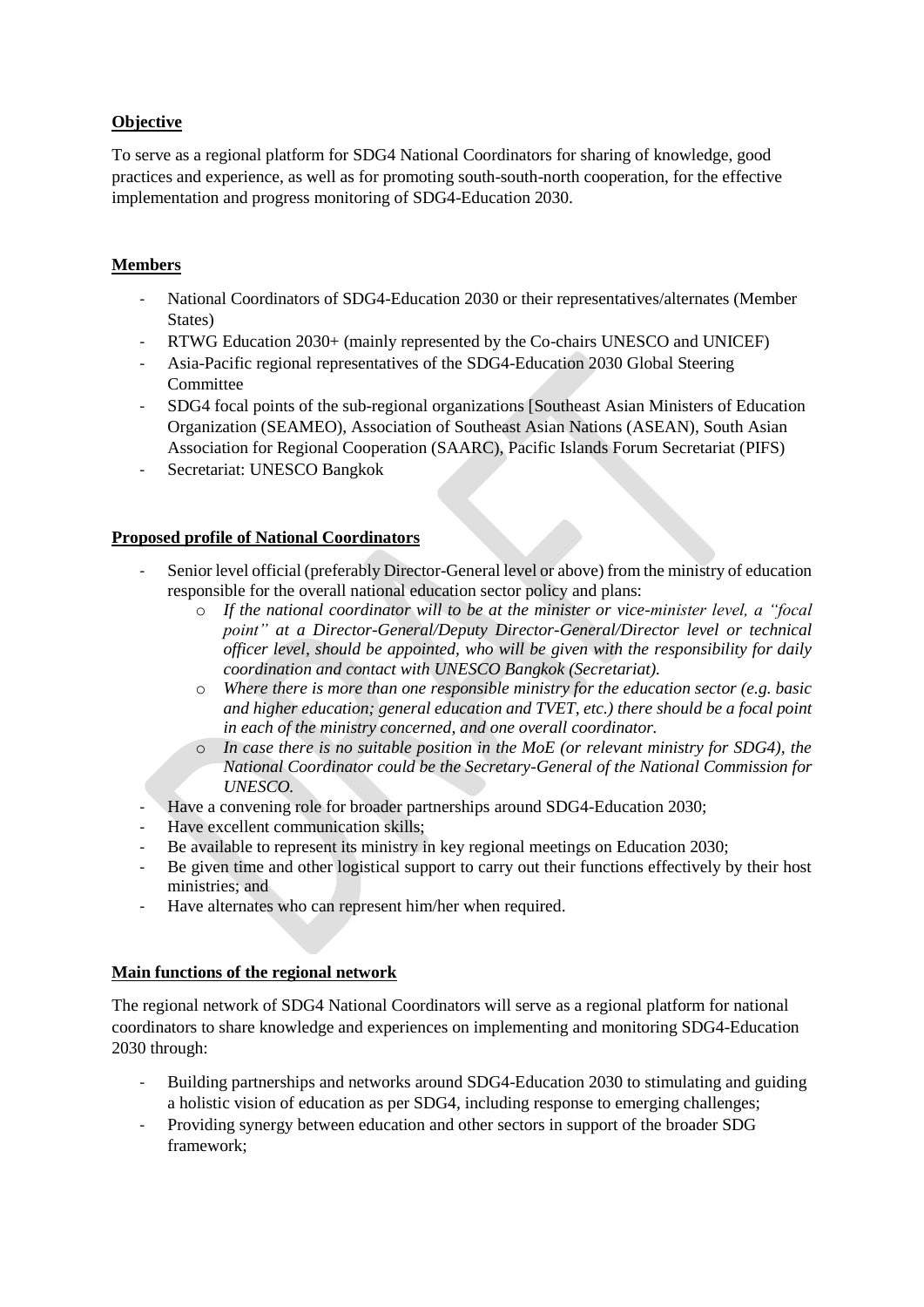# **Objective**

To serve as a regional platform for SDG4 National Coordinators for sharing of knowledge, good practices and experience, as well as for promoting south-south-north cooperation, for the effective implementation and progress monitoring of SDG4-Education 2030.

### **Members**

- National Coordinators of SDG4-Education 2030 or their representatives/alternates (Member States)
- RTWG Education 2030+ (mainly represented by the Co-chairs UNESCO and UNICEF)
- Asia-Pacific regional representatives of the SDG4-Education 2030 Global Steering Committee
- SDG4 focal points of the sub-regional organizations [Southeast Asian Ministers of Education Organization (SEAMEO), Association of Southeast Asian Nations (ASEAN), South Asian Association for Regional Cooperation (SAARC), Pacific Islands Forum Secretariat (PIFS)
- Secretariat: UNESCO Bangkok

# **Proposed profile of National Coordinators**

- Senior level official (preferably Director-General level or above) from the ministry of education responsible for the overall national education sector policy and plans:
	- o *If the national coordinator will to be at the minister or vice-minister level, a "focal point" at a Director-General/Deputy Director-General/Director level or technical officer level, should be appointed, who will be given with the responsibility for daily coordination and contact with UNESCO Bangkok (Secretariat).*
	- o *Where there is more than one responsible ministry for the education sector (e.g. basic and higher education; general education and TVET, etc.) there should be a focal point in each of the ministry concerned, and one overall coordinator.*
	- o *In case there is no suitable position in the MoE (or relevant ministry for SDG4), the National Coordinator could be the Secretary-General of the National Commission for UNESCO.*
- Have a convening role for broader partnerships around SDG4-Education 2030;
- Have excellent communication skills:
- Be available to represent its ministry in key regional meetings on Education 2030;
- Be given time and other logistical support to carry out their functions effectively by their host ministries; and
- Have alternates who can represent him/her when required.

### **Main functions of the regional network**

The regional network of SDG4 National Coordinators will serve as a regional platform for national coordinators to share knowledge and experiences on implementing and monitoring SDG4-Education 2030 through:

- Building partnerships and networks around SDG4-Education 2030 to stimulating and guiding a holistic vision of education as per SDG4, including response to emerging challenges;
- Providing synergy between education and other sectors in support of the broader SDG framework;